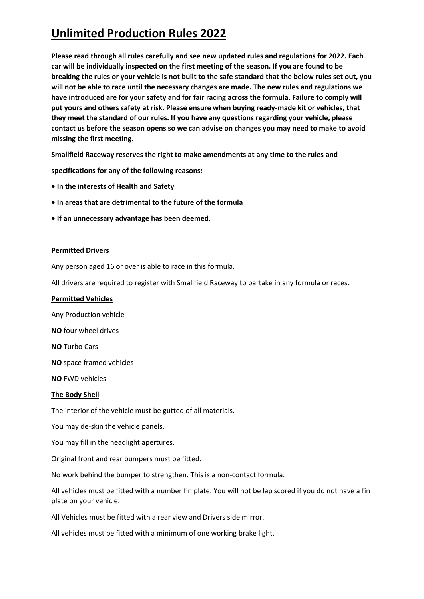**Please read through all rules carefully and see new updated rules and regulations for 2022. Each car will be individually inspected on the first meeting of the season. If you are found to be breaking the rules or your vehicle is not built to the safe standard that the below rules set out, you will not be able to race until the necessary changes are made. The new rules and regulations we have introduced are for your safety and for fair racing across the formula. Failure to comply will put yours and others safety at risk. Please ensure when buying ready-made kit or vehicles, that they meet the standard of our rules. If you have any questions regarding your vehicle, please contact us before the season opens so we can advise on changes you may need to make to avoid missing the first meeting.**

**Smallfield Raceway reserves the right to make amendments at any time to the rules and** 

**specifications for any of the following reasons:** 

- **In the interests of Health and Safety**
- **In areas that are detrimental to the future of the formula**
- **If an unnecessary advantage has been deemed.**

#### **Permitted Drivers**

Any person aged 16 or over is able to race in this formula.

All drivers are required to register with Smallfield Raceway to partake in any formula or races.

#### **Permitted Vehicles**

Any Production vehicle

**NO** four wheel drives

**NO** Turbo Cars

**NO** space framed vehicles

**NO** FWD vehicles

#### **The Body Shell**

The interior of the vehicle must be gutted of all materials.

You may de-skin the vehicle panels.

You may fill in the headlight apertures.

Original front and rear bumpers must be fitted.

No work behind the bumper to strengthen. This is a non-contact formula.

All vehicles must be fitted with a number fin plate. You will not be lap scored if you do not have a fin plate on your vehicle.

All Vehicles must be fitted with a rear view and Drivers side mirror.

All vehicles must be fitted with a minimum of one working brake light.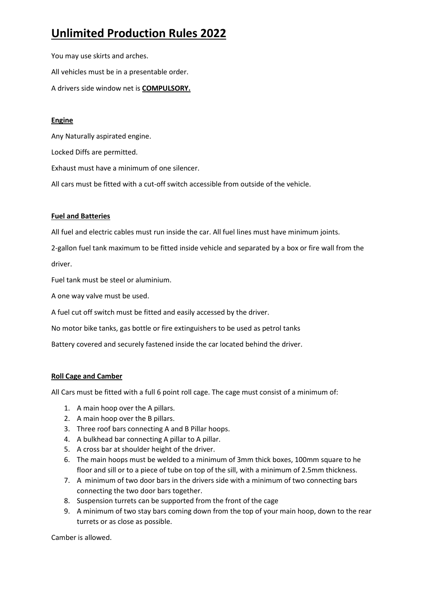You may use skirts and arches. All vehicles must be in a presentable order. A drivers side window net is **COMPULSORY.**

### **Engine**

Any Naturally aspirated engine.

Locked Diffs are permitted.

Exhaust must have a minimum of one silencer.

All cars must be fitted with a cut-off switch accessible from outside of the vehicle.

### **Fuel and Batteries**

All fuel and electric cables must run inside the car. All fuel lines must have minimum joints.

2-gallon fuel tank maximum to be fitted inside vehicle and separated by a box or fire wall from the driver.

Fuel tank must be steel or aluminium.

A one way valve must be used.

A fuel cut off switch must be fitted and easily accessed by the driver.

No motor bike tanks, gas bottle or fire extinguishers to be used as petrol tanks

Battery covered and securely fastened inside the car located behind the driver.

### **Roll Cage and Camber**

All Cars must be fitted with a full 6 point roll cage. The cage must consist of a minimum of:

- 1. A main hoop over the A pillars.
- 2. A main hoop over the B pillars.
- 3. Three roof bars connecting A and B Pillar hoops.
- 4. A bulkhead bar connecting A pillar to A pillar.
- 5. A cross bar at shoulder height of the driver.
- 6. The main hoops must be welded to a minimum of 3mm thick boxes, 100mm square to he floor and sill or to a piece of tube on top of the sill, with a minimum of 2.5mm thickness.
- 7. A minimum of two door bars in the drivers side with a minimum of two connecting bars connecting the two door bars together.
- 8. Suspension turrets can be supported from the front of the cage
- 9. A minimum of two stay bars coming down from the top of your main hoop, down to the rear turrets or as close as possible.

Camber is allowed.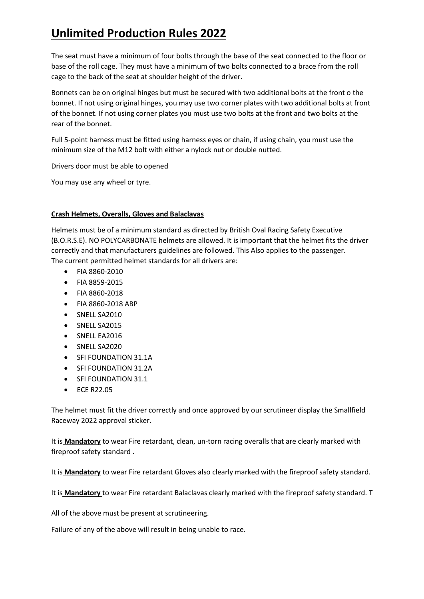The seat must have a minimum of four bolts through the base of the seat connected to the floor or base of the roll cage. They must have a minimum of two bolts connected to a brace from the roll cage to the back of the seat at shoulder height of the driver.

Bonnets can be on original hinges but must be secured with two additional bolts at the front o the bonnet. If not using original hinges, you may use two corner plates with two additional bolts at front of the bonnet. If not using corner plates you must use two bolts at the front and two bolts at the rear of the bonnet.

Full 5-point harness must be fitted using harness eyes or chain, if using chain, you must use the minimum size of the M12 bolt with either a nylock nut or double nutted.

Drivers door must be able to opened

You may use any wheel or tyre.

### **Crash Helmets, Overalls, Gloves and Balaclavas**

Helmets must be of a minimum standard as directed by British Oval Racing Safety Executive (B.O.R.S.E). NO POLYCARBONATE helmets are allowed. It is important that the helmet fits the driver correctly and that manufacturers guidelines are followed. This Also applies to the passenger. The current permitted helmet standards for all drivers are:

- FIA 8860-2010
- FIA 8859-2015
- FIA 8860-2018
- FIA 8860-2018 ABP
- SNELL SA2010
- SNELL SA2015
- SNELL EA2016
- SNELL SA2020
- SFI FOUNDATION 31.1A
- SFI FOUNDATION 31.2A
- SFI FOUNDATION 31.1
- ECE R22.05

The helmet must fit the driver correctly and once approved by our scrutineer display the Smallfield Raceway 2022 approval sticker.

It is **Mandatory** to wear Fire retardant, clean, un-torn racing overalls that are clearly marked with fireproof safety standard .

It is **Mandatory** to wear Fire retardant Gloves also clearly marked with the fireproof safety standard.

It is **Mandatory** to wear Fire retardant Balaclavas clearly marked with the fireproof safety standard. T

All of the above must be present at scrutineering.

Failure of any of the above will result in being unable to race.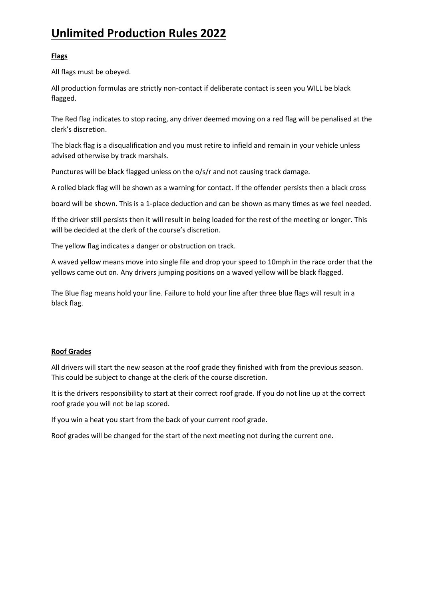### **Flags**

All flags must be obeyed.

All production formulas are strictly non-contact if deliberate contact is seen you WILL be black flagged.

The Red flag indicates to stop racing, any driver deemed moving on a red flag will be penalised at the clerk's discretion.

The black flag is a disqualification and you must retire to infield and remain in your vehicle unless advised otherwise by track marshals.

Punctures will be black flagged unless on the o/s/r and not causing track damage.

A rolled black flag will be shown as a warning for contact. If the offender persists then a black cross

board will be shown. This is a 1-place deduction and can be shown as many times as we feel needed.

If the driver still persists then it will result in being loaded for the rest of the meeting or longer. This will be decided at the clerk of the course's discretion.

The yellow flag indicates a danger or obstruction on track.

A waved yellow means move into single file and drop your speed to 10mph in the race order that the yellows came out on. Any drivers jumping positions on a waved yellow will be black flagged.

The Blue flag means hold your line. Failure to hold your line after three blue flags will result in a black flag.

#### **Roof Grades**

All drivers will start the new season at the roof grade they finished with from the previous season. This could be subject to change at the clerk of the course discretion.

It is the drivers responsibility to start at their correct roof grade. If you do not line up at the correct roof grade you will not be lap scored.

If you win a heat you start from the back of your current roof grade.

Roof grades will be changed for the start of the next meeting not during the current one.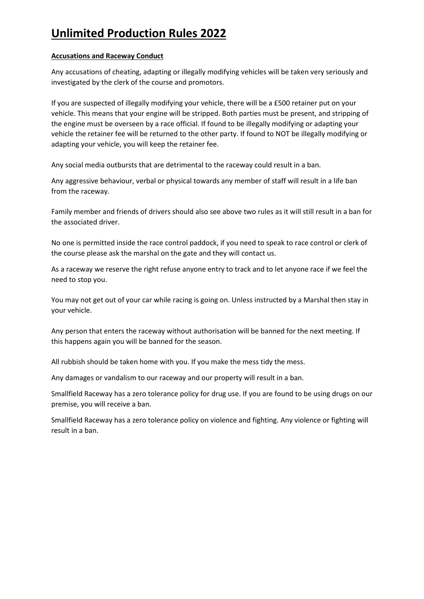#### **Accusations and Raceway Conduct**

Any accusations of cheating, adapting or illegally modifying vehicles will be taken very seriously and investigated by the clerk of the course and promotors.

If you are suspected of illegally modifying your vehicle, there will be a £500 retainer put on your vehicle. This means that your engine will be stripped. Both parties must be present, and stripping of the engine must be overseen by a race official. If found to be illegally modifying or adapting your vehicle the retainer fee will be returned to the other party. If found to NOT be illegally modifying or adapting your vehicle, you will keep the retainer fee.

Any social media outbursts that are detrimental to the raceway could result in a ban.

Any aggressive behaviour, verbal or physical towards any member of staff will result in a life ban from the raceway.

Family member and friends of drivers should also see above two rules as it will still result in a ban for the associated driver.

No one is permitted inside the race control paddock, if you need to speak to race control or clerk of the course please ask the marshal on the gate and they will contact us.

As a raceway we reserve the right refuse anyone entry to track and to let anyone race if we feel the need to stop you.

You may not get out of your car while racing is going on. Unless instructed by a Marshal then stay in your vehicle.

Any person that enters the raceway without authorisation will be banned for the next meeting. If this happens again you will be banned for the season.

All rubbish should be taken home with you. If you make the mess tidy the mess.

Any damages or vandalism to our raceway and our property will result in a ban.

Smallfield Raceway has a zero tolerance policy for drug use. If you are found to be using drugs on our premise, you will receive a ban.

Smallfield Raceway has a zero tolerance policy on violence and fighting. Any violence or fighting will result in a ban.